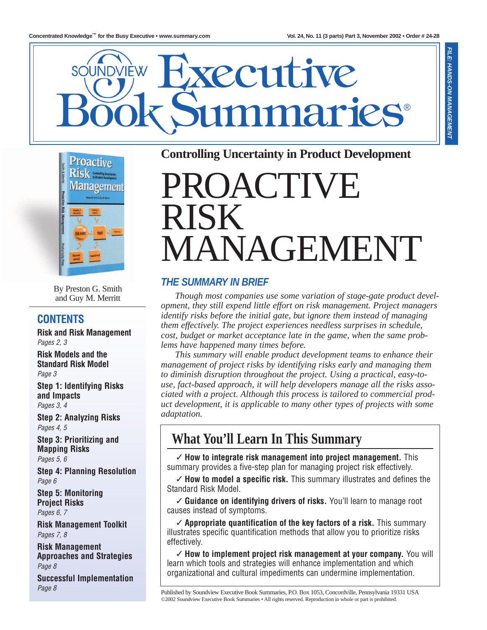**FILE: HANDS-ON MANAGEMENT**





By Preston G. Smith and Guy M. Merritt

### **CONTENTS**

**Risk and Risk Management** *Pages 2, 3*

**Risk Models and the Standard Risk Model** *Page 3*

**Step 1: Identifying Risks and Impacts** *Pages 3, 4*

**Step 2: Analyzing Risks** *Pages 4, 5*

**Step 3: Prioritizing and Mapping Risks** *Pages 5, 6*

**Step 4: Planning Resolution** *Page 6*

**Step 5: Monitoring Project Risks** *Pages 6, 7*

**Risk Management Toolkit**

*Pages 7, 8*

**Risk Management Approaches and Strategies** *Page 8*

**Successful Implementation** *Page 8*

### **Controlling Uncertainty in Product Development**

# PROACTIVE RISK MANAGEMENT

### **THE SUMMARY IN BRIEF**

*Though most companies use some variation of stage-gate product development, they still expend little effort on risk management. Project managers identify risks before the initial gate, but ignore them instead of managing them effectively. The project experiences needless surprises in schedule, cost, budget or market acceptance late in the game, when the same problems have happened many times before.*

*This summary will enable product development teams to enhance their management of project risks by identifying risks early and managing them to diminish disruption throughout the project. Using a practical, easy-touse, fact-based approach, it will help developers manage all the risks associated with a project. Although this process is tailored to commercial product development, it is applicable to many other types of projects with some adaptation.*

# **What You'll Learn In This Summary**

✓ **How to integrate risk management into project management.** This summary provides a five-step plan for managing project risk effectively.

✓ **How to model a specific risk.** This summary illustrates and defines the Standard Risk Model.

✓ **Guidance on identifying drivers of risks.** You'll learn to manage root causes instead of symptoms.

✓ **Appropriate quantification of the key factors of a risk.** This summary illustrates specific quantification methods that allow you to prioritize risks effectively.

✓ **How to implement project risk management at your company.** You will learn which tools and strategies will enhance implementation and which organizational and cultural impediments can undermine implementation.

Published by Soundview Executive Book Summaries, P.O. Box 1053, Concordville, Pennsylvania 19331 USA ©2002 Soundview Executive Book Summaries • All rights reserved. Reproduction in whole or part is prohibited.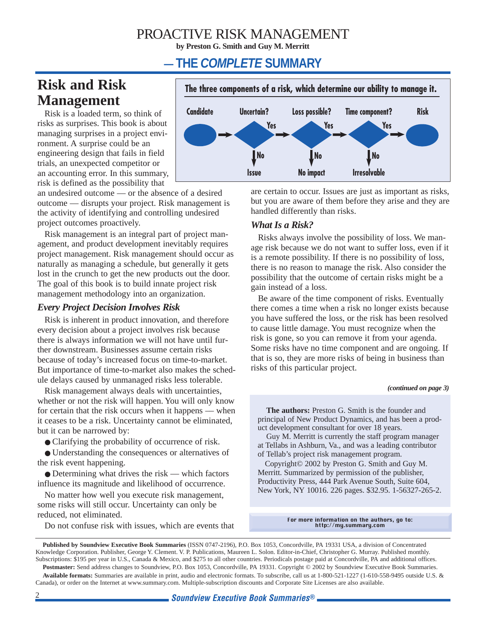### PROACTIVE RISK MANAGEMENT

**by Preston G. Smith and Guy M. Merritt**

### **— THE COMPLETE SUMMARY**

### **Risk and Risk Management**

Risk is a loaded term, so think of risks as surprises. This book is about managing surprises in a project environment. A surprise could be an engineering design that fails in field trials, an unexpected competitor or an accounting error. In this summary, risk is defined as the possibility that

an undesired outcome — or the absence of a desired outcome — disrupts your project. Risk management is the activity of identifying and controlling undesired project outcomes proactively.

Risk management is an integral part of project management, and product development inevitably requires project management. Risk management should occur as naturally as managing a schedule, but generally it gets lost in the crunch to get the new products out the door. The goal of this book is to build innate project risk management methodology into an organization.

#### *Every Project Decision Involves Risk*

Risk is inherent in product innovation, and therefore every decision about a project involves risk because there is always information we will not have until further downstream. Businesses assume certain risks because of today's increased focus on time-to-market. But importance of time-to-market also makes the schedule delays caused by unmanaged risks less tolerable.

Risk management always deals with uncertainties, whether or not the risk will happen. You will only know for certain that the risk occurs when it happens — when it ceases to be a risk. Uncertainty cannot be eliminated, but it can be narrowed by:

● Clarifying the probability of occurrence of risk.

● Understanding the consequences or alternatives of the risk event happening.

 $\bullet$  Determining what drives the risk — which factors influence its magnitude and likelihood of occurrence.

No matter how well you execute risk management, some risks will still occur. Uncertainty can only be reduced, not eliminated.

Do not confuse risk with issues, which are events that



are certain to occur. Issues are just as important as risks, but you are aware of them before they arise and they are handled differently than risks.

#### *What Is a Risk?*

Risks always involve the possibility of loss. We manage risk because we do not want to suffer loss, even if it is a remote possibility. If there is no possibility of loss, there is no reason to manage the risk. Also consider the possibility that the outcome of certain risks might be a gain instead of a loss.

Be aware of the time component of risks. Eventually there comes a time when a risk no longer exists because you have suffered the loss, or the risk has been resolved to cause little damage. You must recognize when the risk is gone, so you can remove it from your agenda. Some risks have no time component and are ongoing. If that is so, they are more risks of being in business than risks of this particular project.

#### *(continued on page 3)*

**The authors:** Preston G. Smith is the founder and principal of New Product Dynamics, and has been a product development consultant for over 18 years.

Guy M. Merritt is currently the staff program manager at Tellabs in Ashburn, Va., and was a leading contributor of Tellab's project risk management program.

Copyright© 2002 by Preston G. Smith and Guy M. Merritt. Summarized by permission of the publisher, Productivity Press, 444 Park Avenue South, Suite 604, New York, NY 10016. 226 pages. \$32.95. 1-56327-265-2.

For more information on the authors, go to: http://my.summary.com

**Published by Soundview Executive Book Summaries** (ISSN 0747-2196), P.O. Box 1053, Concordville, PA 19331 USA, a division of Concentrated Knowledge Corporation. Publisher, George Y. Clement. V. P. Publications, Maureen L. Solon. Editor-in-Chief, Christopher G. Murray. Published monthly. Subscriptions: \$195 per year in U.S., Canada & Mexico, and \$275 to all other countries. Periodicals postage paid at Concordville, PA and additional offices. Postmaster: Send address changes to Soundview, P.O. Box 1053, Concordville, PA 19331. Copyright © 2002 by Soundview Executive Book Summaries. **Available formats:** Summaries are available in print, audio and electronic formats. To subscribe, call us at 1-800-521-1227 (1-610-558-9495 outside U.S. & Canada), or order on the Internet at www.summary.com. Multiple-subscription discounts and Corporate Site Licenses are also available.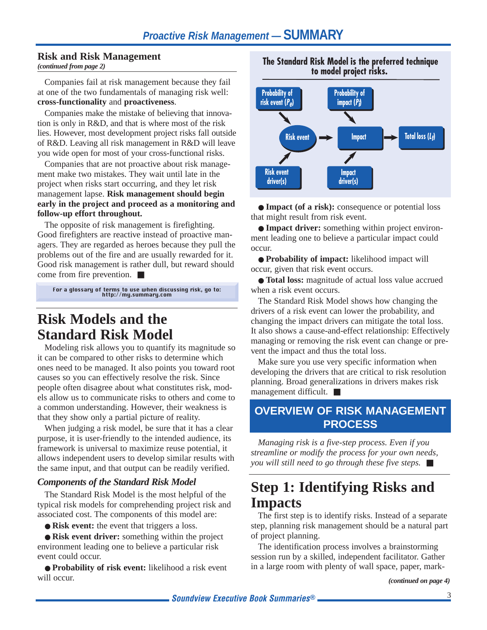#### **Risk and Risk Management**

*(continued from page 2)*

Companies fail at risk management because they fail at one of the two fundamentals of managing risk well: **cross-functionality** and **proactiveness**.

Companies make the mistake of believing that innovation is only in R&D, and that is where most of the risk lies. However, most development project risks fall outside of R&D. Leaving all risk management in R&D will leave you wide open for most of your cross-functional risks.

Companies that are not proactive about risk management make two mistakes. They wait until late in the project when risks start occurring, and they let risk management lapse. **Risk management should begin early in the project and proceed as a monitoring and follow-up effort throughout.**

The opposite of risk management is firefighting. Good firefighters are reactive instead of proactive managers. They are regarded as heroes because they pull the problems out of the fire and are usually rewarded for it. Good risk management is rather dull, but reward should come from fire prevention. ■

For a glossary of terms to use when discussing risk, go to: http://my.summary.com

### **Risk Models and the Standard Risk Model**

Modeling risk allows you to quantify its magnitude so it can be compared to other risks to determine which ones need to be managed. It also points you toward root causes so you can effectively resolve the risk. Since people often disagree about what constitutes risk, models allow us to communicate risks to others and come to a common understanding. However, their weakness is that they show only a partial picture of reality.

When judging a risk model, be sure that it has a clear purpose, it is user-friendly to the intended audience, its framework is universal to maximize reuse potential, it allows independent users to develop similar results with the same input, and that output can be readily verified.

#### *Components of the Standard Risk Model*

The Standard Risk Model is the most helpful of the typical risk models for comprehending project risk and associated cost. The components of this model are:

● **Risk event:** the event that triggers a loss.

● **Risk event driver:** something within the project environment leading one to believe a particular risk event could occur.

● **Probability of risk event:** likelihood a risk event will occur.

**The Standard Risk Model is the preferred technique to model project risks.**



● **Impact (of a risk):** consequence or potential loss that might result from risk event.

● **Impact driver:** something within project environment leading one to believe a particular impact could occur.

● **Probability of impact:** likelihood impact will occur, given that risk event occurs.

● **Total loss:** magnitude of actual loss value accrued when a risk event occurs.

The Standard Risk Model shows how changing the drivers of a risk event can lower the probability, and changing the impact drivers can mitigate the total loss. It also shows a cause-and-effect relationship: Effectively managing or removing the risk event can change or prevent the impact and thus the total loss.

Make sure you use very specific information when developing the drivers that are critical to risk resolution planning. Broad generalizations in drivers makes risk management difficult. ■

### **OVERVIEW OF RISK MANAGEMENT PROCESS**

*Managing risk is a five-step process. Even if you streamline or modify the process for your own needs, you will still need to go through these five steps.* ■

# **Step 1: Identifying Risks and Impacts**

The first step is to identify risks. Instead of a separate step, planning risk management should be a natural part of project planning.

The identification process involves a brainstorming session run by a skilled, independent facilitator. Gather in a large room with plenty of wall space, paper, mark-

*(continued on page 4)*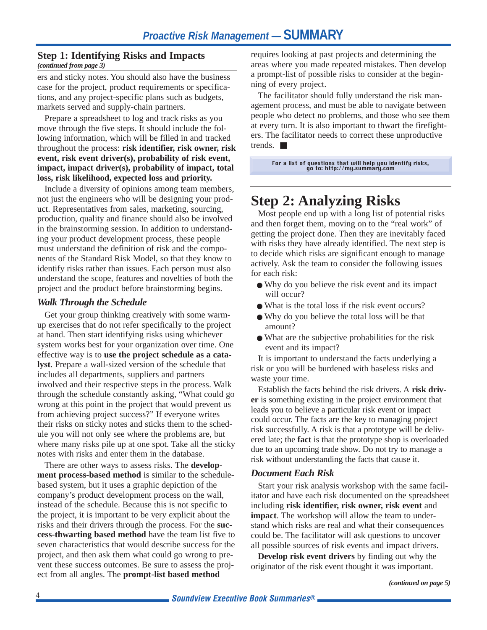#### **Step 1: Identifying Risks and Impacts**

#### *(continued from page 3)*

ers and sticky notes. You should also have the business case for the project, product requirements or specifications, and any project-specific plans such as budgets, markets served and supply-chain partners.

Prepare a spreadsheet to log and track risks as you move through the five steps. It should include the following information, which will be filled in and tracked throughout the process: **risk identifier, risk owner, risk event, risk event driver(s), probability of risk event, impact, impact driver(s), probability of impact, total loss, risk likelihood, expected loss and priority.**

Include a diversity of opinions among team members, not just the engineers who will be designing your product. Representatives from sales, marketing, sourcing, production, quality and finance should also be involved in the brainstorming session. In addition to understanding your product development process, these people must understand the definition of risk and the components of the Standard Risk Model, so that they know to identify risks rather than issues. Each person must also understand the scope, features and novelties of both the project and the product before brainstorming begins.

#### *Walk Through the Schedule*

Get your group thinking creatively with some warmup exercises that do not refer specifically to the project at hand. Then start identifying risks using whichever system works best for your organization over time. One effective way is to **use the project schedule as a catalyst**. Prepare a wall-sized version of the schedule that includes all departments, suppliers and partners involved and their respective steps in the process. Walk through the schedule constantly asking, "What could go wrong at this point in the project that would prevent us from achieving project success?" If everyone writes their risks on sticky notes and sticks them to the schedule you will not only see where the problems are, but where many risks pile up at one spot. Take all the sticky notes with risks and enter them in the database.

There are other ways to assess risks. The **development process-based method** is similar to the schedulebased system, but it uses a graphic depiction of the company's product development process on the wall, instead of the schedule. Because this is not specific to the project, it is important to be very explicit about the risks and their drivers through the process. For the **success-thwarting based method** have the team list five to seven characteristics that would describe success for the project, and then ask them what could go wrong to prevent these success outcomes. Be sure to assess the project from all angles. The **prompt-list based method**

requires looking at past projects and determining the areas where you made repeated mistakes. Then develop a prompt-list of possible risks to consider at the beginning of every project.

The facilitator should fully understand the risk management process, and must be able to navigate between people who detect no problems, and those who see them at every turn. It is also important to thwart the firefighters. The facilitator needs to correct these unproductive trends. ■

#### For a list of questions that will help you identify risks, go to: http://my.summary.com

## **Step 2: Analyzing Risks**

Most people end up with a long list of potential risks and then forget them, moving on to the "real work" of getting the project done. Then they are inevitably faced with risks they have already identified. The next step is to decide which risks are significant enough to manage actively. Ask the team to consider the following issues for each risk:

- Why do you believe the risk event and its impact will occur?
- What is the total loss if the risk event occurs?
- Why do you believe the total loss will be that amount?
- What are the subjective probabilities for the risk event and its impact?

It is important to understand the facts underlying a risk or you will be burdened with baseless risks and waste your time.

Establish the facts behind the risk drivers. A **risk driver** is something existing in the project environment that leads you to believe a particular risk event or impact could occur. The facts are the key to managing project risk successfully. A risk is that a prototype will be delivered late; the **fact** is that the prototype shop is overloaded due to an upcoming trade show. Do not try to manage a risk without understanding the facts that cause it.

#### *Document Each Risk*

Start your risk analysis workshop with the same facilitator and have each risk documented on the spreadsheet including **risk identifier, risk owner, risk event** and **impact**. The workshop will allow the team to understand which risks are real and what their consequences could be. The facilitator will ask questions to uncover all possible sources of risk events and impact drivers.

**Develop risk event drivers** by finding out why the originator of the risk event thought it was important.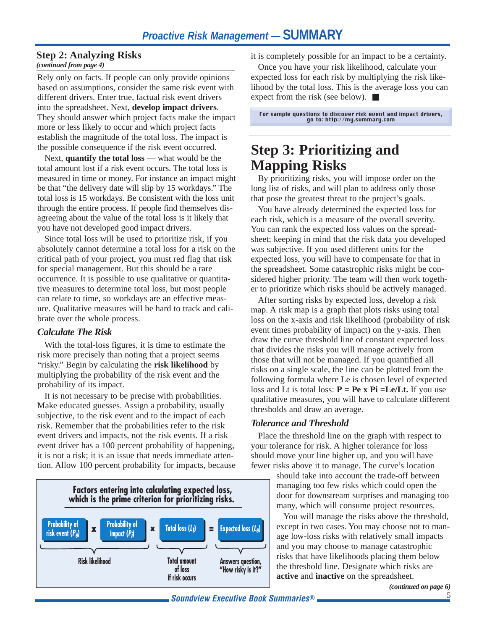#### **Step 2: Analyzing Risks**

#### *(continued from page 4)*

Rely only on facts. If people can only provide opinions based on assumptions, consider the same risk event with different drivers. Enter true, factual risk event drivers into the spreadsheet. Next, **develop impact drivers**. They should answer which project facts make the impact more or less likely to occur and which project facts establish the magnitude of the total loss. The impact is the possible consequence if the risk event occurred.

Next, **quantify the total loss** — what would be the total amount lost if a risk event occurs. The total loss is measured in time or money. For instance an impact might be that "the delivery date will slip by 15 workdays." The total loss is 15 workdays. Be consistent with the loss unit through the entire process. If people find themselves disagreeing about the value of the total loss is it likely that you have not developed good impact drivers.

Since total loss will be used to prioritize risk, if you absolutely cannot determine a total loss for a risk on the critical path of your project, you must red flag that risk for special management. But this should be a rare occurrence. It is possible to use qualitative or quantitative measures to determine total loss, but most people can relate to time, so workdays are an effective measure. Qualitative measures will be hard to track and calibrate over the whole process.

#### *Calculate The Risk*

With the total-loss figures, it is time to estimate the risk more precisely than noting that a project seems "risky." Begin by calculating the **risk likelihood** by multiplying the probability of the risk event and the probability of its impact.

It is not necessary to be precise with probabilities. Make educated guesses. Assign a probability, usually subjective, to the risk event and to the impact of each risk. Remember that the probabilities refer to the risk event drivers and impacts, not the risk events. If a risk event driver has a 100 percent probability of happening, it is not a risk; it is an issue that needs immediate attention. Allow 100 percent probability for impacts, because



it is completely possible for an impact to be a certainty.

Once you have your risk likelihood, calculate your expected loss for each risk by multiplying the risk likelihood by the total loss. This is the average loss you can expect from the risk (see below). ■

For sample questions to discover risk event and impact drivers, go to: http://my.summary.com

# **Step 3: Prioritizing and Mapping Risks**

By prioritizing risks, you will impose order on the long list of risks, and will plan to address only those that pose the greatest threat to the project's goals.

You have already determined the expected loss for each risk, which is a measure of the overall severity. You can rank the expected loss values on the spreadsheet; keeping in mind that the risk data you developed was subjective. If you used different units for the expected loss, you will have to compensate for that in the spreadsheet. Some catastrophic risks might be considered higher priority. The team will then work together to prioritize which risks should be actively managed.

After sorting risks by expected loss, develop a risk map. A risk map is a graph that plots risks using total loss on the x-axis and risk likelihood (probability of risk event times probability of impact) on the y-axis. Then draw the curve threshold line of constant expected loss that divides the risks you will manage actively from those that will not be managed. If you quantified all risks on a single scale, the line can be plotted from the following formula where Le is chosen level of expected loss and Lt is total loss: **P = Pe x Pi =Le/Lt.** If you use qualitative measures, you will have to calculate different thresholds and draw an average.

#### *Tolerance and Threshold*

Place the threshold line on the graph with respect to your tolerance for risk. A higher tolerance for loss should move your line higher up, and you will have fewer risks above it to manage. The curve's location

should take into account the trade-off between managing too few risks which could open the door for downstream surprises and managing too many, which will consume project resources.

You will manage the risks above the threshold, except in two cases. You may choose not to manage low-loss risks with relatively small impacts and you may choose to manage catastrophic risks that have likelihoods placing them below the threshold line. Designate which risks are **active** and **inactive** on the spreadsheet.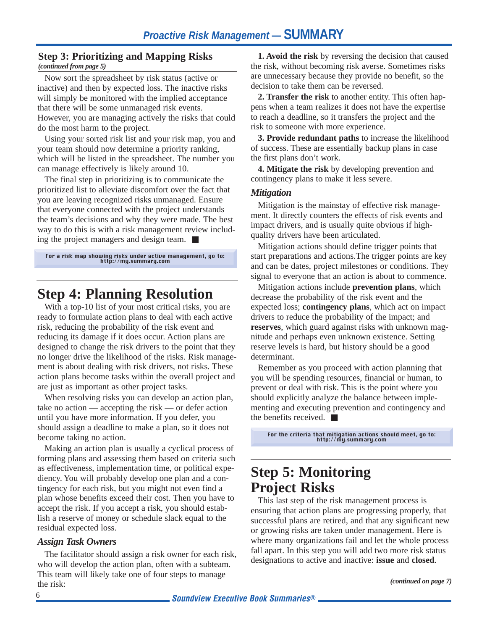### **Step 3: Prioritizing and Mapping Risks**

*(continued from page 5)*

Now sort the spreadsheet by risk status (active or inactive) and then by expected loss. The inactive risks will simply be monitored with the implied acceptance that there will be some unmanaged risk events. However, you are managing actively the risks that could do the most harm to the project.

Using your sorted risk list and your risk map, you and your team should now determine a priority ranking, which will be listed in the spreadsheet. The number you can manage effectively is likely around 10.

The final step in prioritizing is to communicate the prioritized list to alleviate discomfort over the fact that you are leaving recognized risks unmanaged. Ensure that everyone connected with the project understands the team's decisions and why they were made. The best way to do this is with a risk management review including the project managers and design team. ■

For a risk map showing risks under active management, go to: http://my.summary.com

### **Step 4: Planning Resolution**

With a top-10 list of your most critical risks, you are ready to formulate action plans to deal with each active risk, reducing the probability of the risk event and reducing its damage if it does occur. Action plans are designed to change the risk drivers to the point that they no longer drive the likelihood of the risks. Risk management is about dealing with risk drivers, not risks. These action plans become tasks within the overall project and are just as important as other project tasks.

When resolving risks you can develop an action plan, take no action — accepting the risk — or defer action until you have more information. If you defer, you should assign a deadline to make a plan, so it does not become taking no action.

Making an action plan is usually a cyclical process of forming plans and assessing them based on criteria such as effectiveness, implementation time, or political expediency. You will probably develop one plan and a contingency for each risk, but you might not even find a plan whose benefits exceed their cost. Then you have to accept the risk. If you accept a risk, you should establish a reserve of money or schedule slack equal to the residual expected loss.

#### *Assign Task Owners*

The facilitator should assign a risk owner for each risk, who will develop the action plan, often with a subteam. This team will likely take one of four steps to manage the risk:

**1. Avoid the risk** by reversing the decision that caused the risk, without becoming risk averse. Sometimes risks are unnecessary because they provide no benefit, so the decision to take them can be reversed.

**2. Transfer the risk** to another entity. This often happens when a team realizes it does not have the expertise to reach a deadline, so it transfers the project and the risk to someone with more experience.

**3. Provide redundant paths** to increase the likelihood of success. These are essentially backup plans in case the first plans don't work.

**4. Mitigate the risk** by developing prevention and contingency plans to make it less severe.

#### *Mitigation*

Mitigation is the mainstay of effective risk management. It directly counters the effects of risk events and impact drivers, and is usually quite obvious if highquality drivers have been articulated.

Mitigation actions should define trigger points that start preparations and actions.The trigger points are key and can be dates, project milestones or conditions. They signal to everyone that an action is about to commence.

Mitigation actions include **prevention plans**, which decrease the probability of the risk event and the expected loss; **contingency plans**, which act on impact drivers to reduce the probability of the impact; and **reserves**, which guard against risks with unknown magnitude and perhaps even unknown existence. Setting reserve levels is hard, but history should be a good determinant.

Remember as you proceed with action planning that you will be spending resources, financial or human, to prevent or deal with risk. This is the point where you should explicitly analyze the balance between implementing and executing prevention and contingency and the benefits received.  $\blacksquare$ 

For the criteria that mitigation actions should meet, go to: http://my.summary.com

## **Step 5: Monitoring Project Risks**

This last step of the risk management process is ensuring that action plans are progressing properly, that successful plans are retired, and that any significant new or growing risks are taken under management. Here is where many organizations fail and let the whole process fall apart. In this step you will add two more risk status designations to active and inactive: **issue** and **closed**.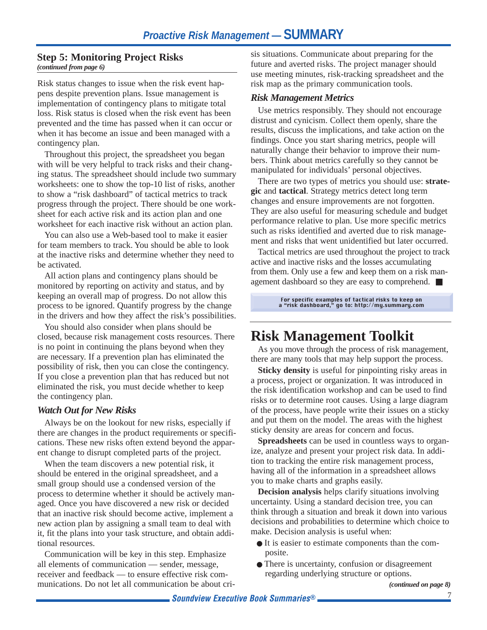#### **Step 5: Monitoring Project Risks** *(continued from page 6)*

Risk status changes to issue when the risk event happens despite prevention plans. Issue management is implementation of contingency plans to mitigate total loss. Risk status is closed when the risk event has been prevented and the time has passed when it can occur or when it has become an issue and been managed with a contingency plan.

Throughout this project, the spreadsheet you began with will be very helpful to track risks and their changing status. The spreadsheet should include two summary worksheets: one to show the top-10 list of risks, another to show a "risk dashboard" of tactical metrics to track progress through the project. There should be one worksheet for each active risk and its action plan and one worksheet for each inactive risk without an action plan.

You can also use a Web-based tool to make it easier for team members to track. You should be able to look at the inactive risks and determine whether they need to be activated.

All action plans and contingency plans should be monitored by reporting on activity and status, and by keeping an overall map of progress. Do not allow this process to be ignored. Quantify progress by the change in the drivers and how they affect the risk's possibilities.

You should also consider when plans should be closed, because risk management costs resources. There is no point in continuing the plans beyond when they are necessary. If a prevention plan has eliminated the possibility of risk, then you can close the contingency. If you close a prevention plan that has reduced but not eliminated the risk, you must decide whether to keep the contingency plan.

#### *Watch Out for New Risks*

Always be on the lookout for new risks, especially if there are changes in the product requirements or specifications. These new risks often extend beyond the apparent change to disrupt completed parts of the project.

When the team discovers a new potential risk, it should be entered in the original spreadsheet, and a small group should use a condensed version of the process to determine whether it should be actively managed. Once you have discovered a new risk or decided that an inactive risk should become active, implement a new action plan by assigning a small team to deal with it, fit the plans into your task structure, and obtain additional resources.

Communication will be key in this step. Emphasize all elements of communication –– sender, message, receiver and feedback — to ensure effective risk communications. Do not let all communication be about crisis situations. Communicate about preparing for the future and averted risks. The project manager should use meeting minutes, risk-tracking spreadsheet and the risk map as the primary communication tools.

#### *Risk Management Metrics*

Use metrics responsibly. They should not encourage distrust and cynicism. Collect them openly, share the results, discuss the implications, and take action on the findings. Once you start sharing metrics, people will naturally change their behavior to improve their numbers. Think about metrics carefully so they cannot be manipulated for individuals' personal objectives.

There are two types of metrics you should use: **strategic** and **tactical**. Strategy metrics detect long term changes and ensure improvements are not forgotten. They are also useful for measuring schedule and budget performance relative to plan. Use more specific metrics such as risks identified and averted due to risk management and risks that went unidentified but later occurred.

Tactical metrics are used throughout the project to track active and inactive risks and the losses accumulating from them. Only use a few and keep them on a risk management dashboard so they are easy to comprehend. ■

For specific examples of tactical risks to keep on a "risk dashboard," go to: http://my.summary.com

# **Risk Management Toolkit**

As you move through the process of risk management, there are many tools that may help support the process.

**Sticky density** is useful for pinpointing risky areas in a process, project or organization. It was introduced in the risk identification workshop and can be used to find risks or to determine root causes. Using a large diagram of the process, have people write their issues on a sticky and put them on the model. The areas with the highest sticky density are areas for concern and focus.

**Spreadsheets** can be used in countless ways to organize, analyze and present your project risk data. In addition to tracking the entire risk management process, having all of the information in a spreadsheet allows you to make charts and graphs easily.

**Decision analysis** helps clarify situations involving uncertainty. Using a standard decision tree, you can think through a situation and break it down into various decisions and probabilities to determine which choice to make. Decision analysis is useful when:

- It is easier to estimate components than the composite.
- There is uncertainty, confusion or disagreement regarding underlying structure or options.